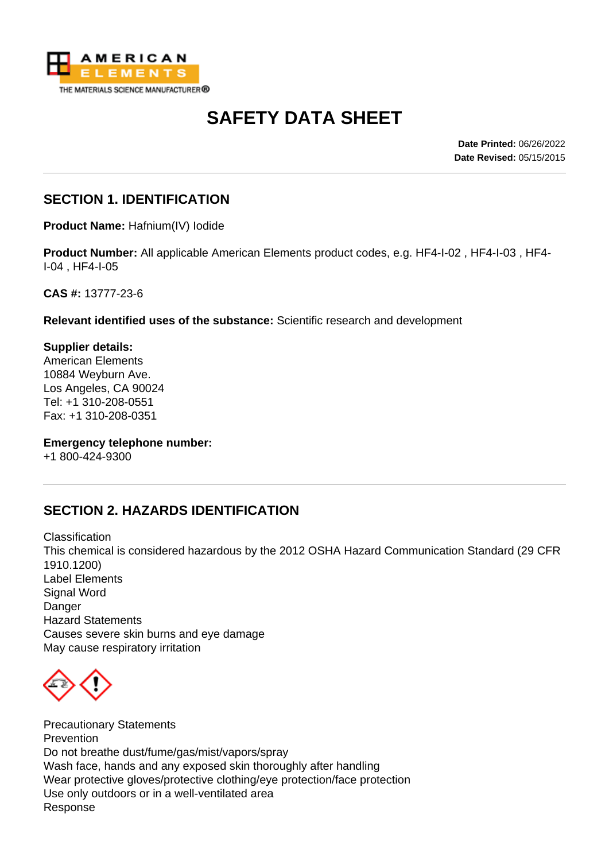

# **SAFETY DATA SHEET**

**Date Printed:** 06/26/2022 **Date Revised:** 05/15/2015

#### **SECTION 1. IDENTIFICATION**

**Product Name:** Hafnium(IV) Iodide

**Product Number:** All applicable American Elements product codes, e.g. HF4-I-02 , HF4-I-03 , HF4- I-04 , HF4-I-05

**CAS #:** 13777-23-6

**Relevant identified uses of the substance:** Scientific research and development

**Supplier details:** American Elements 10884 Weyburn Ave. Los Angeles, CA 90024 Tel: +1 310-208-0551 Fax: +1 310-208-0351

**Emergency telephone number:**

+1 800-424-9300

## **SECTION 2. HAZARDS IDENTIFICATION**

Classification This chemical is considered hazardous by the 2012 OSHA Hazard Communication Standard (29 CFR 1910.1200) Label Elements Signal Word **Danger** Hazard Statements Causes severe skin burns and eye damage May cause respiratory irritation



Precautionary Statements **Prevention** Do not breathe dust/fume/gas/mist/vapors/spray Wash face, hands and any exposed skin thoroughly after handling Wear protective gloves/protective clothing/eye protection/face protection Use only outdoors or in a well-ventilated area Response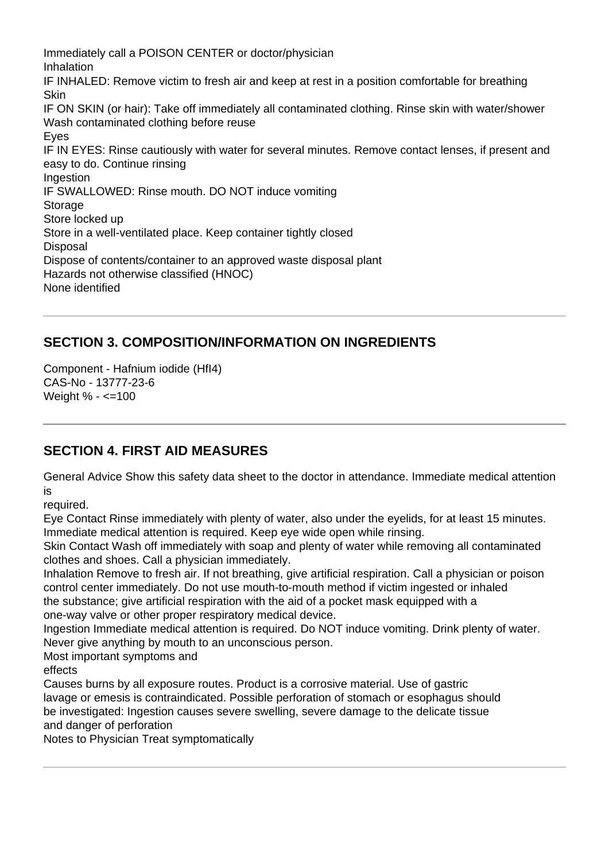Immediately call a POISON CENTER or doctor/physician Inhalation IF INHALED: Remove victim to fresh air and keep at rest in a position comfortable for breathing **Skin** IF ON SKIN (or hair): Take off immediately all contaminated clothing. Rinse skin with water/shower Wash contaminated clothing before reuse Eyes IF IN EYES: Rinse cautiously with water for several minutes. Remove contact lenses, if present and easy to do. Continue rinsing **Ingestion** IF SWALLOWED: Rinse mouth. DO NOT induce vomiting Storage Store locked up Store in a well-ventilated place. Keep container tightly closed **Disposal** Dispose of contents/container to an approved waste disposal plant Hazards not otherwise classified (HNOC) None identified

## **SECTION 3. COMPOSITION/INFORMATION ON INGREDIENTS**

Component - Hafnium iodide (HfI4) CAS-No - 13777-23-6 Weight % - <=100

## **SECTION 4. FIRST AID MEASURES**

General Advice Show this safety data sheet to the doctor in attendance. Immediate medical attention is

required.

Eye Contact Rinse immediately with plenty of water, also under the eyelids, for at least 15 minutes. Immediate medical attention is required. Keep eye wide open while rinsing.

Skin Contact Wash off immediately with soap and plenty of water while removing all contaminated clothes and shoes. Call a physician immediately.

Inhalation Remove to fresh air. If not breathing, give artificial respiration. Call a physician or poison control center immediately. Do not use mouth-to-mouth method if victim ingested or inhaled

the substance; give artificial respiration with the aid of a pocket mask equipped with a one-way valve or other proper respiratory medical device.

Ingestion Immediate medical attention is required. Do NOT induce vomiting. Drink plenty of water. Never give anything by mouth to an unconscious person.

Most important symptoms and

effects

Causes burns by all exposure routes. Product is a corrosive material. Use of gastric lavage or emesis is contraindicated. Possible perforation of stomach or esophagus should be investigated: Ingestion causes severe swelling, severe damage to the delicate tissue and danger of perforation

Notes to Physician Treat symptomatically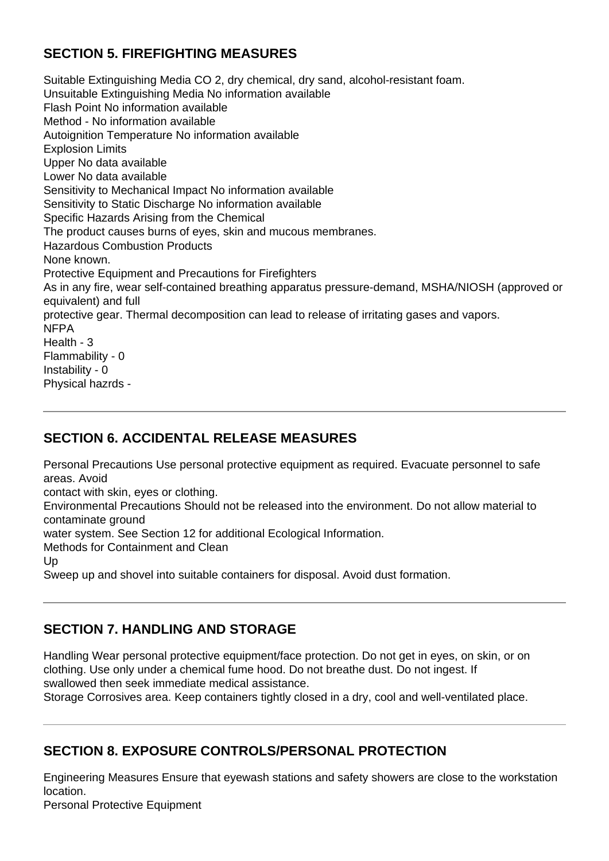## **SECTION 5. FIREFIGHTING MEASURES**

Suitable Extinguishing Media CO 2, dry chemical, dry sand, alcohol-resistant foam. Unsuitable Extinguishing Media No information available Flash Point No information available Method - No information available Autoignition Temperature No information available Explosion Limits Upper No data available Lower No data available Sensitivity to Mechanical Impact No information available Sensitivity to Static Discharge No information available Specific Hazards Arising from the Chemical The product causes burns of eyes, skin and mucous membranes. Hazardous Combustion Products None known. Protective Equipment and Precautions for Firefighters As in any fire, wear self-contained breathing apparatus pressure-demand, MSHA/NIOSH (approved or equivalent) and full protective gear. Thermal decomposition can lead to release of irritating gases and vapors. NFPA Health - 3 Flammability - 0 Instability - 0 Physical hazrds -

#### **SECTION 6. ACCIDENTAL RELEASE MEASURES**

Personal Precautions Use personal protective equipment as required. Evacuate personnel to safe areas. Avoid

contact with skin, eyes or clothing.

Environmental Precautions Should not be released into the environment. Do not allow material to contaminate ground

water system. See Section 12 for additional Ecological Information.

Methods for Containment and Clean

Up

Sweep up and shovel into suitable containers for disposal. Avoid dust formation.

## **SECTION 7. HANDLING AND STORAGE**

Handling Wear personal protective equipment/face protection. Do not get in eyes, on skin, or on clothing. Use only under a chemical fume hood. Do not breathe dust. Do not ingest. If swallowed then seek immediate medical assistance.

Storage Corrosives area. Keep containers tightly closed in a dry, cool and well-ventilated place.

## **SECTION 8. EXPOSURE CONTROLS/PERSONAL PROTECTION**

Engineering Measures Ensure that eyewash stations and safety showers are close to the workstation location.

Personal Protective Equipment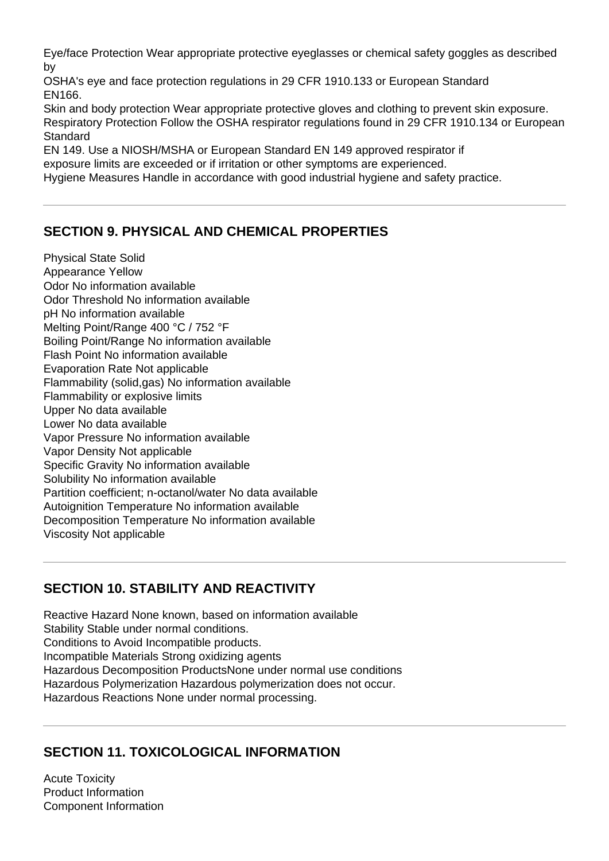Eye/face Protection Wear appropriate protective eyeglasses or chemical safety goggles as described by

OSHA's eye and face protection regulations in 29 CFR 1910.133 or European Standard EN166.

Skin and body protection Wear appropriate protective gloves and clothing to prevent skin exposure. Respiratory Protection Follow the OSHA respirator regulations found in 29 CFR 1910.134 or European **Standard** 

EN 149. Use a NIOSH/MSHA or European Standard EN 149 approved respirator if exposure limits are exceeded or if irritation or other symptoms are experienced. Hygiene Measures Handle in accordance with good industrial hygiene and safety practice.

## **SECTION 9. PHYSICAL AND CHEMICAL PROPERTIES**

Physical State Solid Appearance Yellow Odor No information available Odor Threshold No information available pH No information available Melting Point/Range 400 °C / 752 °F Boiling Point/Range No information available Flash Point No information available Evaporation Rate Not applicable Flammability (solid,gas) No information available Flammability or explosive limits Upper No data available Lower No data available Vapor Pressure No information available Vapor Density Not applicable Specific Gravity No information available Solubility No information available Partition coefficient; n-octanol/water No data available Autoignition Temperature No information available Decomposition Temperature No information available Viscosity Not applicable

## **SECTION 10. STABILITY AND REACTIVITY**

Reactive Hazard None known, based on information available Stability Stable under normal conditions. Conditions to Avoid Incompatible products. Incompatible Materials Strong oxidizing agents Hazardous Decomposition ProductsNone under normal use conditions Hazardous Polymerization Hazardous polymerization does not occur. Hazardous Reactions None under normal processing.

## **SECTION 11. TOXICOLOGICAL INFORMATION**

Acute Toxicity Product Information Component Information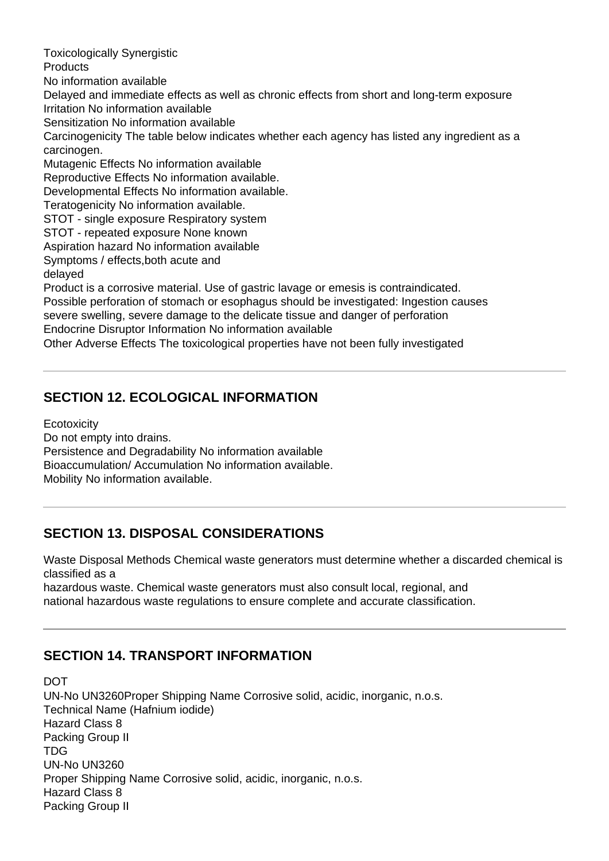Toxicologically Synergistic **Products** No information available Delayed and immediate effects as well as chronic effects from short and long-term exposure Irritation No information available Sensitization No information available Carcinogenicity The table below indicates whether each agency has listed any ingredient as a carcinogen. Mutagenic Effects No information available Reproductive Effects No information available. Developmental Effects No information available. Teratogenicity No information available. STOT - single exposure Respiratory system STOT - repeated exposure None known Aspiration hazard No information available Symptoms / effects,both acute and delayed Product is a corrosive material. Use of gastric lavage or emesis is contraindicated. Possible perforation of stomach or esophagus should be investigated: Ingestion causes severe swelling, severe damage to the delicate tissue and danger of perforation Endocrine Disruptor Information No information available Other Adverse Effects The toxicological properties have not been fully investigated

## **SECTION 12. ECOLOGICAL INFORMATION**

**Ecotoxicity** 

Do not empty into drains.

Persistence and Degradability No information available Bioaccumulation/ Accumulation No information available.

Mobility No information available.

## **SECTION 13. DISPOSAL CONSIDERATIONS**

Waste Disposal Methods Chemical waste generators must determine whether a discarded chemical is classified as a

hazardous waste. Chemical waste generators must also consult local, regional, and national hazardous waste regulations to ensure complete and accurate classification.

## **SECTION 14. TRANSPORT INFORMATION**

DOT UN-No UN3260Proper Shipping Name Corrosive solid, acidic, inorganic, n.o.s. Technical Name (Hafnium iodide) Hazard Class 8 Packing Group II TDG UN-No UN3260 Proper Shipping Name Corrosive solid, acidic, inorganic, n.o.s. Hazard Class 8 Packing Group II